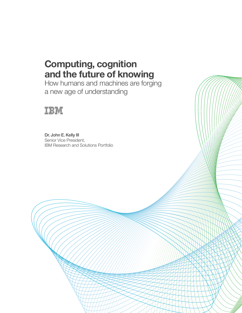# **Computing, cognition and the future of knowing**

How humans and machines are forging a new age of understanding



Dr. John E. Kelly III Senior Vice President, IBM Research and Solutions Portfolio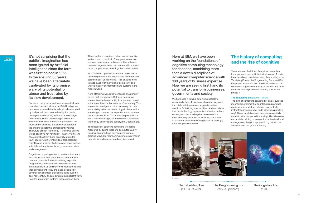Those systems have been deterministic; cognitive systems are probabilistic. They generate not just answers to numerical problems, but hypotheses, reasoned arguments and recommendations about more complex —and meaningful —bodies of data.

What's more, cognitive systems can make sense of the 80 percent of the world's data that computer scientists call "unstructured." This enables them to keep pace with the volume, complexity and unpredictability of information and systems in the modern world.

None of this involves either sentience or autonomy on the part of machines. Rather, it consists of augmenting the human ability to understand —and act upon —the complex systems of our society. This augmented intelligence is the necessary next step in our ability to harness technology in the pursuit of knowledge, to further our expertise and to improve the human condition. That is why it represents not just a new technology, but the dawn of a new era of technology, business and society: the Cognitive Era.

The success of cognitive computing will not be measured by Turing tests or a computer's ability to mimic humans. It will be measured in more practical ways, like return on investment, new market opportunities, diseases cured and lives saved.

It's not surprising that the public's imagination has been ignited by Artificial Intelligence since the term was first coined in 1955. In the ensuing 60 years, we have been alternately captivated by its promise, wary of its potential for abuse and frustrated by its slow development.

But like so many advanced technologies that were conceived before their time, Artificial Intelligence has come to be widely misunderstood—co-opted by Hollywood, mischaracterized by the media, portrayed as everything from savior to scourge of humanity. Those of us engaged in serious information science and in its application in the real world of business and society understand the enormous potential of intelligent systems. The future of such technology —which we believe will be cognitive, not "artificial"—has very different characteristics from those generally attributed to AI, spawning different kinds of technological, scientific and societal challenges and opportunities, with different requirements for governance, policy and management.

Cognitive computing refers to systems that learn at scale, reason with purpose and interact with humans naturally. Rather than being explicitly programmed, they learn and reason from their interactions with us and from their experiences with their environment. They are made possible by advances in a number of scientific fields over the past half-century, and are different in important ways from the information systems that preceded them.

Here at IBM, we have been working on the foundations of cognitive computing technology for decades, combining more than a dozen disciplines of advanced computer science with 100 years of business expertise. Now we are seeing first hand its potential to transform businesses, governments and society.

We have seen it turn big data from obstacle to opportunity, help physicians make early diagnoses for childhood disease and suggest creative solutions for building smarter cities. And we believe that this technology represents our best —perhaps our only —chance to help tackle some of the most enduring systemic issues facing our planet, from cancer and climate change to an increasingly complex global economy.



## **The history of computing and the rise of cognitive**

To understand the future of cognitive computing, it's important to place it in historical context. To date, there have been two distinct eras of computing —the Tabulating Era and the Programming Era —and IBM has played a central role in the development of both. We believe cognitive computing is the third and most transformational phase in computing's evolution. (Image 1)

### **The Tabulating Era** (1900s —1940s)

The birth of computing consisted of single-purpose mechanical systems that counted, using punched cards to input and store data, and to eventually instruct the machine what to do (albeit in a primitive way). These tabulation machines were essentially calculators that supported the scaling of both business and society, helping us to organize, understand, and manage everything from population growth to the advancement of a global economy.

The Tabulating Era (1900s –1940s)



The Programming Era (1950s –present)

Image 1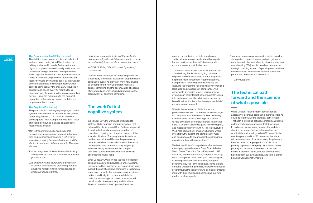### **The Programming Era** (1950s – present)

The shift from mechanical tabulators to electronic systems began during World War II, driven by military and scientific needs. Following the war, digital "computers" evolved rapidly and moved into businesses and governments. They performed if/then logical operations and loops, with instructions coded in software. Originally built around vacuum tubes, they were given a huge boost by the invention of the transistor and the microprocessor, which came to demonstrate "Moore's Law," doubling in capacity and speed every 18 months for six decades. Everything we now know as a computing device —from the mainframe to the personal computer, to the smartphone and tablet —is a programmable computer.

#### The Cognitive Era (2011 -)

The potential for something beyond programmable systems was foreseen as far back as 1960, when computing pioneer J.C.R. Licklider wrote his seminal paper "Man-Computer Symbiosis." Much of modern computing is based on Licklider's research and insights:

 *"Man-computer symbiosis is an expected development in cooperative interaction between men and electronic computers. It will involve very close coupling between the human and the electronic members of the partnership. The main aims are:*

- **1.** *to let computers facilitate formulative thinking as they now facilitate the solution of formulated problems, and*
- **2.** *to enable men and computers to cooperate in making decisions and controlling complex situations without inflexible dependence on predetermined programs…*

*Preliminary analyses indicate that the symbiotic partnership will perform intellectual operations much more effectively than man alone can perform them." 1 — J.C.R. Licklider, "Man-Computer Symbiosis,"*

*March 1960*

Licklider knew that cognitive computing would be a necessary and natural evolution of programmable computing, even if he didn't yet know how it would be accomplished. Fifty years later, massively parallel computing and the accumulation of oceans of structured and unstructured data would lay the groundwork for cognitive computing.

## **The world's first cognitive system**

In February 2011, the world was introduced to Watson, IBM's cognitive computing system that defeated Ken Jennings and Brad Rutter at *Jeopardy!*. It was the first widely seen demonstration of cognitive computing, and it marked the end of the so-called AI winter. The programmable systems that had revolutionized life over the previous six decades could not have made sense of the messy, unstructured data required to play *Jeopardy!.*  Watson's ability to answer subtle, complex, pun-laden questions made clear that a new era of computing was at hand.

Since *Jeopardy!*, Watson has tackled increasingly complex data sets and developed understanding, reasoning and learning that go far beyond deciphering. Indeed, the goal of cognitive computing is to illuminate aspects of our world that were previously invisible patterns and insight in unstructured data, in particular —allowing us to make more informed decisions about more consequential matters. The true potential of the Cognitive Era will be

realized by combining the data analytics and statistical reasoning of machines with uniquely human qualities, such as self-directed goals, common sense and ethical values.

This is what Watson was built to do, and is in fact already doing. Banks are analyzing customer requests and financial data to surface insights to help them make investment recommendations. Companies in heavily regulated industries are querying the system to keep up with ever-changing legislation and standards of compliance. And oncologists are testing ways in which cognitive systems can help interpret cancer patients' clinical information and identify individualized, evidencebased treatment options that leverage specialists' experience and research.

What is the experience of this like for the professionals involved? World-renowned oncologist Dr. Larry Norton of the Memorial Sloan Kettering Cancer Center, which is working with Watson to help physicians personalize cancer treatments, says, "Computer science is going to evolve rapidly, and medicine will evolve with it. This is coevolution. We'll help each other. I envision situations where myself [*sic*], the patient, the computer, my nurse and my graduate fellow are all in the examination room interacting with one another." *2*

We first saw hints of this symbiosis after Watson's chess-playing predecessor, Deep Blue, defeated World Chess Champion Garry Kasparov in 1997. Following that demonstration, Kasparov would go on to participate in new "freestyle" chess leagues, in which players are free to use any computer programs they like. In these leagues, some players compete unassisted. Some rely entirely on computer programs. But those players who combine computer input with their intuition and competitive instincts are the most successful. *3*

 "Teams of human plus machine dominated even the strongest computers. Human strategic guidance combined with the tactical acuity of a computer was overwhelming. We [people] could concentrate on strategic planning instead of spending so much time on calculations. Human creativity was even more paramount under these conditions." 4

—Garry Kasparov

## **The technical path forward and the science of what's possible**

While Licklider helped inform a philosophical approach to cognitive computing, there was little he could do to articulate the technical path forward. That path is still being defined, constantly adjusting as the world outside our computer labs evolves. In particular, we are keenly aware of how data is shaping the future. Gartner estimates that the world's information will grow by 800 percent in the next five years, and that 80 percent of that data will be unstructured. It includes everything humans have recorded in **language** (from textbooks to poems), captured in **images** (CAT scans to family photos) and recorded in **sounds**. It is the data hidden in aromas, tastes, textures and vibrations. It comes from our own activities, and from a planet being pervasively instrumented.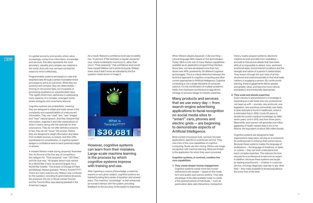In a global economy and society where value increasingly comes from information, knowledge and services, this data represents the most abundant, valuable and complex raw material in the world. And until now, we have not had the means to mine it effectively.

Programmable systems are based on rules that shepherd data through a series of predetermined processes to arrive at outcomes. While they are powerful and complex, they are deterministic thriving on structured data, but incapable of processing qualitative or unpredictable input. This rigidity limits their usefulness in addressing many aspects of a complex, emergent world, where ambiguity and uncertainty abound.

Cognitive systems are probabilistic, meaning they are designed to adapt and make sense of the complexity and unpredictability of unstructured information. They can "read" text, "see" images and "hear" natural speech. And they interpret that information, organize it and offer explanations of what it means, along with the rationale for their conclusions. They do not offer definitive answers. In fact, they do not "know" the answer. Rather, they are designed to weigh information and ideas from multiple sources, to reason, and then offer hypotheses for consideration. A cognitive system assigns a confidence level to each potential insight or answer.

A mistake Watson made during *Jeopardy!* illustrates this. At the end of the first day of competition, the category for "Final Jeopardy" was "US Cities," and the clue was, "Its largest airport was named for a World War II hero; its second largest, for a World War II battle." The answer is Chicago (O'Hare and Midway). Watson guessed, "What is Toronto?????" There are many reasons why Watson was confused by this question, including its grammatical structure, the presence of a city in Illinois named Toronto and the Toronto Blue Jays playing baseball in the American League.

As a result, Watson's confidence level was incredibly low: 14 percent. If this had been a regular *Jeopardy!* clue, where contestants must buzz in, rather than one in "Final Jeopardy," that confidence level would have caused Watson not to press its buzzer. Watson knew what it didn't know as indicated by the five question marks shown in Image 2.

### However, cognitive systems can learn from their mistakes. Large-scale machine learning is the process by which cognitive systems improve with training and use.

After ingesting a corpus of knowledge, curated by experts on any given subject, cognitive systems are trained by being fed a series of question-and-answer pairs. This machine "knowledge" is then enhanced as humans interact with the system, providing feedback on the accuracy of the system's responses.

When Watson played *Jeopardy!*, it did one thing natural language Q&A, based on five technologies. Today, Q&A is only one of many Watson capabilities available as an application programming interface. Since then, we have developed more than two dozen new APIs, powered by 50 different cognitive technologies. This is a critical distinction between the technical approach to cognitive computing and other current approaches to Artificial Intelligence. Cognitive computing is not a single discipline of computer science. It is the combination of multiple academic fields, from hardware architecture to algorithmic strategy to process design to industry expertise.

Many products and services that we use every day —from search-engine advertising applications to facial recognition on social media sites to "smart" cars, phones and electric grids —are beginning to demonstrate aspects of Artificial Intelligence.

Most consist of purpose-built, narrowly focused applications, specific to a particular service. They use a few of the core capabilities of cognitive computing. Some use text mining. Others use image recognition with machine learning. Most are limited to the application for which they were conceived.

**Cognitive systems, in contrast, combine five core capabilities:**

**1. They create deeper human engagement:**  Cognitive systems create more fully human interactions with people —based on the mode, form and quality each person prefers. They take advantage of the data available today to create a fine-grained picture of individuals —such as geolocation data, web interactions, transaction



history, loyalty program patterns, electronic medical records and data from wearables and add to that picture details that have been difficult or impossible to detect: tone, sentiment, emotional state, environmental conditions and the strength and nature of a person's relationships. They reason through the sum total of all this structured and unstructured data to find what really matters in engaging a person. By continuously learning, these engagements deliver greater and greater value, and become more natural, anticipatory and emotionally appropriate.

### **2. They scale and elevate expertise:**

Every industry's and profession's knowledge is expanding at a rate faster than any professional can keep up with —journals, new protocols, new legislation, new practices and entirely new fields. A clear example is found in healthcare, where it is estimated that in 1950, it took 50 years to double the world's medical knowledge; by 1980, seven years; and in 2015, less than three years. Meanwhile, each person will generate one million gigabytes of health-related data in his or her lifetime, the equivalent of about 300 million books.

Cognitive systems are designed to help organizations keep pace, serving as a companion for professionals to enhance their performance. Because these systems master the language of professions —the language of medicine, or sales, or cuisine —they can both understand and teach complex expertise. This reduces the time required for a professional to become an expert. In addition, because these systems are taught by leading practitioners —whether in customer service, oncology diagnosis, case law or any other field —they make available to broad populations the know-how of the best.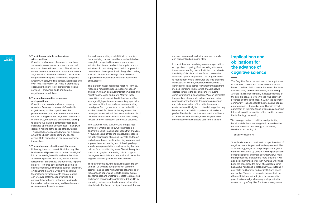### **3. They infuse products and services with cognition:**

Cognition enables new classes of products and services to sense, reason and learn about their users and the world around them. This allows for continuous improvement and adaptation, and for augmentation of their capabilities to deliver uses not previously imagined. We see this happening already with cars, medical devices, appliances and even toys. The Internet of Things is dramatically expanding the universe of digital products and services —and where code and data go, cognition can now follow.

### **4. They enable cognitive processes and operations:**

Cognition also transforms how a company operates. Business processes infused with cognitive capabilities capitalize on the phenomenon of data, from internal and external sources. This gives them heightened awareness of workflows, context and environment, leading to continuous learning, better forecasting and increased operational effectiveness —along with decision-making at the speed of today's data. This is good news in a world where, for example, an average billion-dollar company spends almost 1,000 person hours per week managing its suppliers.

### **5. They enhance exploration and discovery:**

Ultimately, the most powerful tool that cognitive businesses will possess is far better "headlights" into an increasingly volatile and complex future. Such headlights are becoming more important as leaders in all industries are compelled to place big bets —on drug development, on complex financial modeling, on materials science innovation, on launching a startup. By applying cognitive technologies to vast amounts of data, leaders can uncover patterns, opportunities and actionable hypotheses that would be virtually impossible to discover using traditional research or programmable systems alone.

If cognitive computing is to fulfill its true promise, the underlying platform must be broad and flexible enough to be applied by any company in any industry. And it must be able to be applied across industries. To do that requires a holistic approach to research and development, with the goal of creating a robust platform with a range of capabilities to support diverse applications from an ecosystem of developers.

This platform must encompass machine learning, reasoning, natural language processing, speech and vision, human-computer interaction, dialog and narrative generation and more. Many of these capabilities require specialized infrastructure that leverages high-performance computing, specialized hardware architectures and even new computing paradigms. Each grows from its own scientific or academic field. But these technologies must be developed in concert, with hardware, software, cloud platforms and applications that are built expressly to work together in support of cognitive solutions.

 "Technology creates possibilities and potential, but ultimately, the future we get will depend on the choices we make. Technology is not destiny. We shape our destiny." 5

With Watson's rapid evolution, we are getting a glimpse of what is possible. One example is a cognitive medical imaging application that analyzes X-rays, MRIs and ultrasound images. It processes the natural language of medical journals, textbooks and articles. It uses machine learning to correct and improve its understanding. And it develops deep knowledge representations and reasoning that can help surface possible diagnoses. To do this requires specialized graphic processing units to support the large scale of data and human domain expertise to guide its learning and interpret its results.

The power of this new model can be applied to any domain. Oil and gas companies can combine seismic imaging data with analyses of hundreds of thousands of papers and reports, current events, economic data and weather forecasts to create risk and reward scenarios for exploratory drilling. Or, by analyzing test scores, attendance and information about student behavior on digital learning platforms, schools can create longitudinal student records and personalized education plans.

In one of the most promising near-term applications of cognitive computing, IBM is working with more than a dozen leading cancer institutes to accelerate the ability of clinicians to identify and personalize treatment options for patients. The program seeks to reduce from weeks to minutes the time it takes to translate DNA insights, understand an individual's genetic profile and gather relevant information from medical literature. The resulting analysis allows doctors to target the specific cancer-causing genetic mutations in each patient. Watson completes the genetic material and medical literature review process in only a few minutes, producing a report and data visualization of the patient's case and evidence-based insights on potential drugs that may be relevant to an individual patient's unique DNA profile. The clinician can then evaluate the evidence to determine whether a targeted therapy may be more effective than standard care for the patient.

## **Implications and obligations for the advance of cognitive science**

The Cognitive Era is the next step in the application of science to understand nature and improve the human condition. In that sense, it is a new chapter of a familiar story, and the controversy surrounding Artificial Intelligence is merely the latest example of the age-old debate between those who believe in progress and those who fear it. Within the scientific community —as opposed to the media and popular entertainment - the verdict is in. There is broad agreement on the importance of pursuing a cognitive future, along with recognition of the need to develop the technology responsibly.

—Erik Brynjolfsson, MIT

Specifically, we must continue to shape the effect of cognitive computing on work and employment. Like all technology, cognitive computing will change the nature of work done by people. It will help us perform some tasks faster and more accurately. It will make many processes cheaper and more efficient. It will also do some things better than humans, which has been the case since the dawn of civilization. What has always happened is that higher value is found in new skills, and humans and our institutions adapt and evolve. There is no reason to believe it will be different this time. Indeed, given the exponential growth in knowledge, discovery and opportunity opened up by a Cognitive Era, there is every reason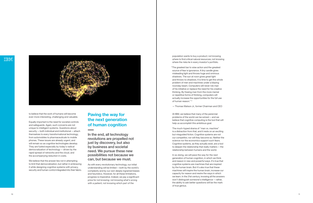

to believe that the work of humans will become ever-more interesting, challenging and valuable.

Equally important is the need for societal controls and safeguards. Again, such concerns are not unique to intelligent systems. Questions about security —both individual and institutional —attach themselves to every transformational technology, from automobiles to pharmaceuticals to mobile phones. These issues are already urgent, and will remain so as cognitive technologies develop. They are fueled especially by today's radical democratization of technology —driven by the rapid spread of networks and the cloud, and the accompanying reduction in costs.

We believe that the answer lies not in attempting to limit that democratization, but rather in embracing it while designing cognitive systems with privacy, security and human control integrated into their fabric.

## **Paving the way for the next generation of human cognition**

In the end, all technology revolutions are propelled not just by discovery, but also by business and societal need. We pursue these new possibilities not because we can, but because we must.

As with every revolutionary technology, our initial understanding will be limited —both by the world's complexity and by our own deeply ingrained biases and heuristics. However, for all these limitations, progress is imperative. Indeed, we pay a significant price for not knowing: not knowing what's wrong with a patient; not knowing which part of the

population wants to buy a product; not knowing where to find critical natural resources; not knowing where the risks lie in every investor's portfolio.

 "The greatest bar to wise action and the greatest source of fear is ignorance. A tiny candle gives misleading light and throws huge and ominous shadows. The sun at noon gives great light and throws no shadows. It is time to get this whole problem of men and machines under a blazing noonday beam. Computers will never rob man of his initiative or replace the need for his creative thinking. By freeing man from the more menial or repetitive forms of thinking, computers will actually increase the opportunities for the full use of human reason." 6

—Thomas Watson Jr., former Chairman and CEO

At IBM, we believe that many of the perennial problems of the world can be solved —and we believe that cognitive computing is the tool that will help us accomplish this ambitious goal.

The much-hyped drama of "man vs. machine" is a distraction from that, and it rests on an exciting but misguided fiction. Cognitive systems are not our competitor, nor will they become so. Neither the science nor the economics support such fears. Cognitive systems, as they actually exist, are a tool to deepen the relationship that really matters —the relationship between humans and the world.

In so doing, we will pave the way for the next generation of human cognition, in which we think and reason in new and powerful ways. It's true that cognitive systems are machines that are inspired by the human brain. But it's also true that these machines will inspire the human brain, increase our capacity for reason and rewire the ways in which we learn. In the 21st century, knowing all the answers won't distinguish someone's intelligence —rather, the ability to ask better questions will be the mark of true genius.